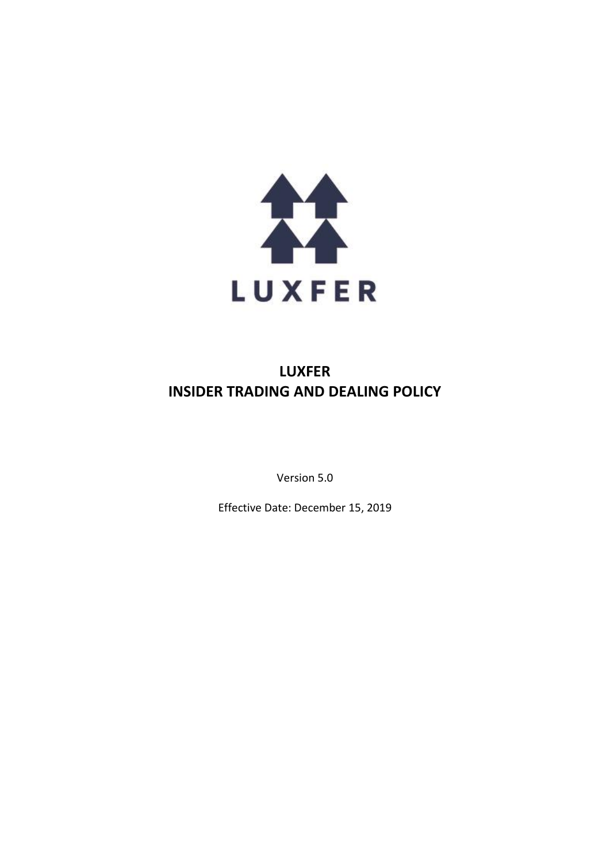

# **LUXFER INSIDER TRADING AND DEALING POLICY**

Version 5.0

Effective Date: December 15, 2019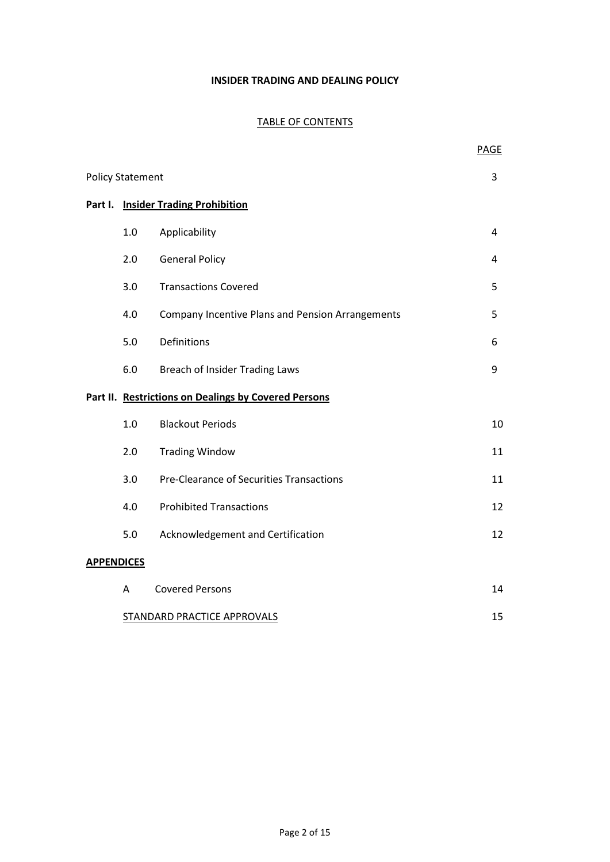### **INSIDER TRADING AND DEALING POLICY**

### TABLE OF CONTENTS

|                         |                             |                                                         | <b>PAGE</b> |
|-------------------------|-----------------------------|---------------------------------------------------------|-------------|
| <b>Policy Statement</b> |                             |                                                         |             |
|                         |                             | Part I. Insider Trading Prohibition                     |             |
|                         | 1.0                         | Applicability                                           | 4           |
|                         | 2.0                         | <b>General Policy</b>                                   | 4           |
|                         | 3.0                         | <b>Transactions Covered</b>                             | 5           |
|                         | 4.0                         | <b>Company Incentive Plans and Pension Arrangements</b> | 5           |
|                         | 5.0                         | Definitions                                             | 6           |
|                         | 6.0                         | <b>Breach of Insider Trading Laws</b>                   | 9           |
|                         |                             | Part II. Restrictions on Dealings by Covered Persons    |             |
|                         | 1.0                         | <b>Blackout Periods</b>                                 | 10          |
|                         | 2.0                         | <b>Trading Window</b>                                   | 11          |
|                         | 3.0                         | Pre-Clearance of Securities Transactions                | 11          |
|                         | 4.0                         | <b>Prohibited Transactions</b>                          | 12          |
|                         | 5.0                         | Acknowledgement and Certification                       | 12          |
| <b>APPENDICES</b>       |                             |                                                         |             |
|                         | A                           | <b>Covered Persons</b>                                  | 14          |
|                         | STANDARD PRACTICE APPROVALS |                                                         |             |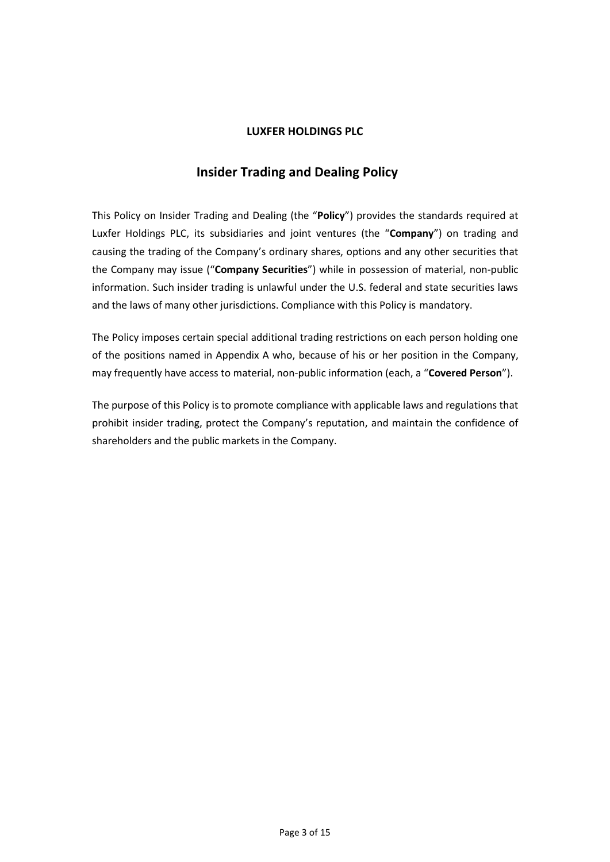### **LUXFER HOLDINGS PLC**

# **Insider Trading and Dealing Policy**

This Policy on Insider Trading and Dealing (the "**Policy**") provides the standards required at Luxfer Holdings PLC, its subsidiaries and joint ventures (the "**Company**") on trading and causing the trading of the Company's ordinary shares, options and any other securities that the Company may issue ("**Company Securities**") while in possession of material, non-public information. Such insider trading is unlawful under the U.S. federal and state securities laws and the laws of many other jurisdictions. Compliance with this Policy is mandatory.

The Policy imposes certain special additional trading restrictions on each person holding one of the positions named in Appendix A who, because of his or her position in the Company, may frequently have access to material, non-public information (each, a "**Covered Person**").

The purpose of this Policy is to promote compliance with applicable laws and regulations that prohibit insider trading, protect the Company's reputation, and maintain the confidence of shareholders and the public markets in the Company.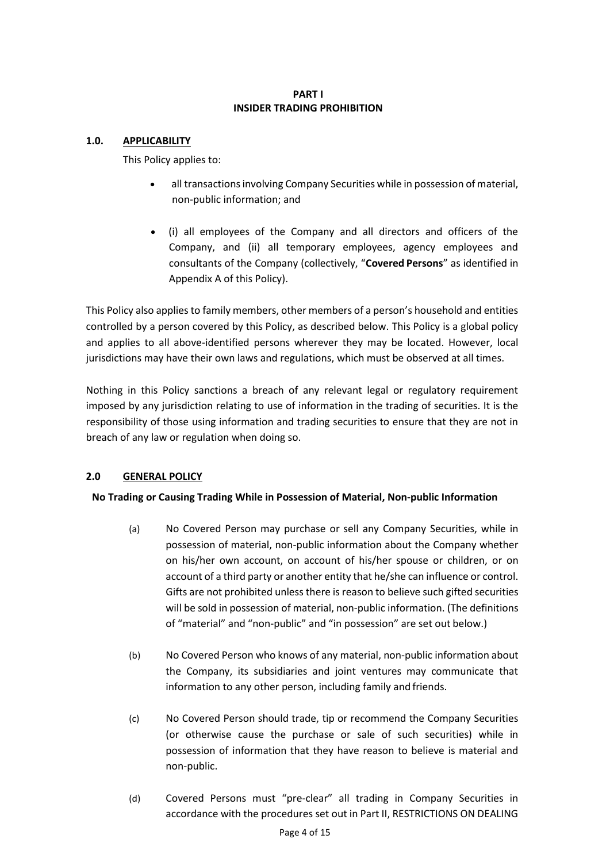### **PART I INSIDER TRADING PROHIBITION**

### **1.0. APPLICABILITY**

This Policy applies to:

- all transactions involving Company Securities while in possession of material, non-public information; and
- (i) all employees of the Company and all directors and officers of the Company, and (ii) all temporary employees, agency employees and consultants of the Company (collectively, "**Covered Persons**" as identified in Appendix A of this Policy).

This Policy also applies to family members, other members of a person's household and entities controlled by a person covered by this Policy, as described below. This Policy is a global policy and applies to all above-identified persons wherever they may be located. However, local jurisdictions may have their own laws and regulations, which must be observed at all times.

Nothing in this Policy sanctions a breach of any relevant legal or regulatory requirement imposed by any jurisdiction relating to use of information in the trading of securities. It is the responsibility of those using information and trading securities to ensure that they are not in breach of any law or regulation when doing so.

## **2.0 GENERAL POLICY**

### **No Trading or Causing Trading While in Possession of Material, Non-public Information**

- (a) No Covered Person may purchase or sell any Company Securities, while in possession of material, non-public information about the Company whether on his/her own account, on account of his/her spouse or children, or on account of a third party or another entity that he/she can influence or control. Gifts are not prohibited unless there is reason to believe such gifted securities will be sold in possession of material, non-public information. (The definitions of "material" and "non-public" and "in possession" are set out below.)
- (b) No Covered Person who knows of any material, non-public information about the Company, its subsidiaries and joint ventures may communicate that information to any other person, including family and friends.
- (c) No Covered Person should trade, tip or recommend the Company Securities (or otherwise cause the purchase or sale of such securities) while in possession of information that they have reason to believe is material and non-public.
- (d) Covered Persons must "pre-clear" all trading in Company Securities in accordance with the procedures set out in Part II, RESTRICTIONS ON DEALING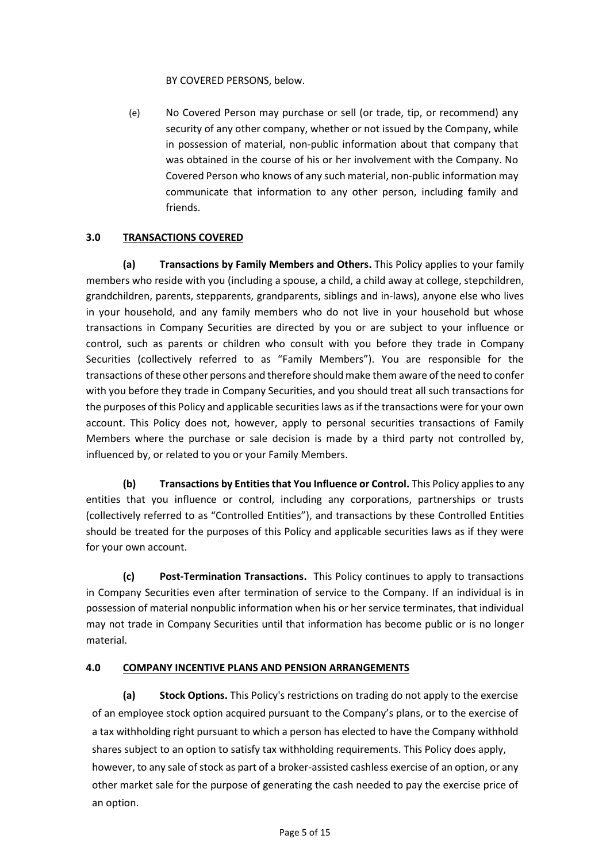BY COVERED PERSONS, below.

(e) No Covered Person may purchase or sell (or trade, tip, or recommend) any security of any other company, whether or not issued by the Company, while in possession of material, non-public information about that company that was obtained in the course of his or her involvement with the Company. No Covered Person who knows of any such material, non-public information may communicate that information to any other person, including family and friends.

### **3.0 TRANSACTIONS COVERED**

**(a) Transactions by Family Members and Others.** This Policy applies to your family members who reside with you (including a spouse, a child, a child away at college, stepchildren, grandchildren, parents, stepparents, grandparents, siblings and in-laws), anyone else who lives in your household, and any family members who do not live in your household but whose transactions in Company Securities are directed by you or are subject to your influence or control, such as parents or children who consult with you before they trade in Company Securities (collectively referred to as "Family Members"). You are responsible for the transactions of these other persons and therefore should make them aware of the need to confer with you before they trade in Company Securities, and you should treat all such transactions for the purposes of this Policy and applicable securities laws as if the transactions were for your own account. This Policy does not, however, apply to personal securities transactions of Family Members where the purchase or sale decision is made by a third party not controlled by, influenced by, or related to you or your Family Members.

**(b) Transactions by Entities that You Influence or Control.** This Policy applies to any entities that you influence or control, including any corporations, partnerships or trusts (collectively referred to as "Controlled Entities"), and transactions by these Controlled Entities should be treated for the purposes of this Policy and applicable securities laws as if they were for your own account.

**(c) Post-Termination Transactions.** This Policy continues to apply to transactions in Company Securities even after termination of service to the Company. If an individual is in possession of material nonpublic information when his or her service terminates, that individual may not trade in Company Securities until that information has become public or is no longer material.

## **4.0 COMPANY INCENTIVE PLANS AND PENSION ARRANGEMENTS**

**(a) Stock Options.** This Policy's restrictions on trading do not apply to the exercise of an employee stock option acquired pursuant to the Company's plans, or to the exercise of a tax withholding right pursuant to which a person has elected to have the Company withhold shares subject to an option to satisfy tax withholding requirements. This Policy does apply, however, to any sale of stock as part of a broker-assisted cashless exercise of an option, or any other market sale for the purpose of generating the cash needed to pay the exercise price of an option.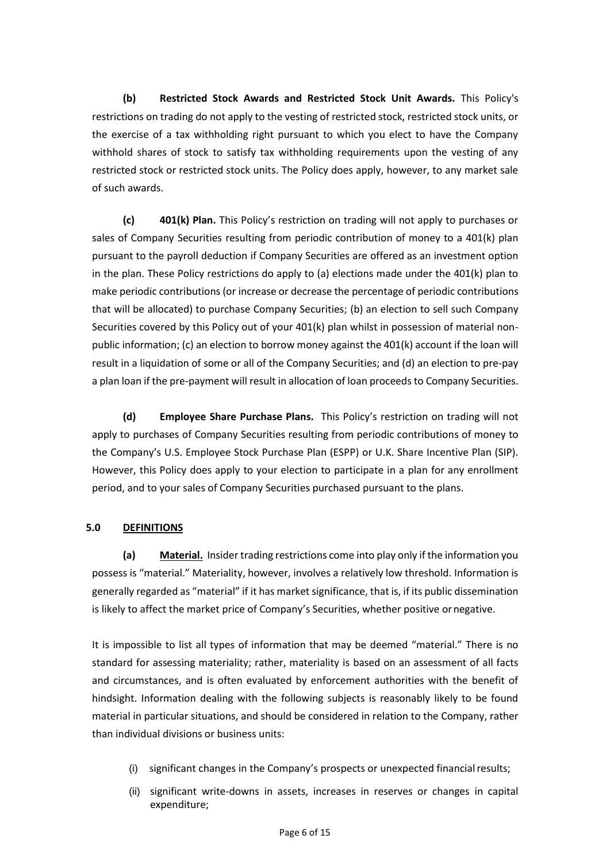**(b) Restricted Stock Awards and Restricted Stock Unit Awards.** This Policy's restrictions on trading do not apply to the vesting of restricted stock, restricted stock units, or the exercise of a tax withholding right pursuant to which you elect to have the Company withhold shares of stock to satisfy tax withholding requirements upon the vesting of any restricted stock or restricted stock units. The Policy does apply, however, to any market sale of such awards.

**(c) 401(k) Plan.** This Policy's restriction on trading will not apply to purchases or sales of Company Securities resulting from periodic contribution of money to a 401(k) plan pursuant to the payroll deduction if Company Securities are offered as an investment option in the plan. These Policy restrictions do apply to (a) elections made under the 401(k) plan to make periodic contributions (or increase or decrease the percentage of periodic contributions that will be allocated) to purchase Company Securities; (b) an election to sell such Company Securities covered by this Policy out of your 401(k) plan whilst in possession of material nonpublic information; (c) an election to borrow money against the 401(k) account if the loan will result in a liquidation of some or all of the Company Securities; and (d) an election to pre-pay a plan loan if the pre-payment will result in allocation of loan proceeds to Company Securities.

**(d) Employee Share Purchase Plans.** This Policy's restriction on trading will not apply to purchases of Company Securities resulting from periodic contributions of money to the Company's U.S. Employee Stock Purchase Plan (ESPP) or U.K. Share Incentive Plan (SIP). However, this Policy does apply to your election to participate in a plan for any enrollment period, and to your sales of Company Securities purchased pursuant to the plans.

### **5.0 DEFINITIONS**

**(a) Material.** Insider trading restrictions come into play only if the information you possess is "material." Materiality, however, involves a relatively low threshold. Information is generally regarded as "material" if it has market significance, that is, if its public dissemination is likely to affect the market price of Company's Securities, whether positive ornegative.

It is impossible to list all types of information that may be deemed "material." There is no standard for assessing materiality; rather, materiality is based on an assessment of all facts and circumstances, and is often evaluated by enforcement authorities with the benefit of hindsight. Information dealing with the following subjects is reasonably likely to be found material in particular situations, and should be considered in relation to the Company, rather than individual divisions or business units:

- (i) significant changes in the Company's prospects or unexpected financialresults;
- (ii) significant write-downs in assets, increases in reserves or changes in capital expenditure;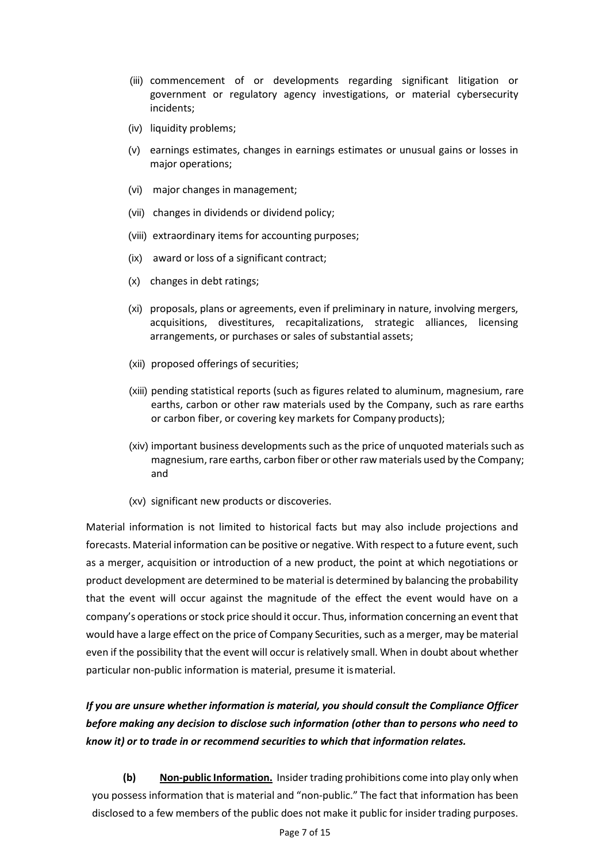- (iii) commencement of or developments regarding significant litigation or government or regulatory agency investigations, or material cybersecurity incidents;
- (iv) liquidity problems;
- (v) earnings estimates, changes in earnings estimates or unusual gains or losses in major operations;
- (vi) major changes in management;
- (vii) changes in dividends or dividend policy;
- (viii) extraordinary items for accounting purposes;
- (ix) award or loss of a significant contract;
- (x) changes in debt ratings;
- (xi) proposals, plans or agreements, even if preliminary in nature, involving mergers, acquisitions, divestitures, recapitalizations, strategic alliances, licensing arrangements, or purchases or sales of substantial assets;
- (xii) proposed offerings of securities;
- (xiii) pending statistical reports (such as figures related to aluminum, magnesium, rare earths, carbon or other raw materials used by the Company, such as rare earths or carbon fiber, or covering key markets for Company products);
- (xiv) important business developments such as the price of unquoted materials such as magnesium, rare earths, carbon fiber or other raw materials used by the Company; and
- (xv) significant new products or discoveries.

Material information is not limited to historical facts but may also include projections and forecasts. Material information can be positive or negative. With respect to a future event, such as a merger, acquisition or introduction of a new product, the point at which negotiations or product development are determined to be material is determined by balancing the probability that the event will occur against the magnitude of the effect the event would have on a company's operations or stock price should it occur. Thus, information concerning an event that would have a large effect on the price of Company Securities, such as a merger, may be material even if the possibility that the event will occur is relatively small. When in doubt about whether particular non-public information is material, presume it ismaterial.

# *If you are unsure whether information is material, you should consult the Compliance Officer before making any decision to disclose such information (other than to persons who need to know it) or to trade in or recommend securities to which that information relates.*

**(b) Non-public Information.** Insider trading prohibitions come into play only when you possess information that is material and "non-public." The fact that information has been disclosed to a few members of the public does not make it public for insider trading purposes.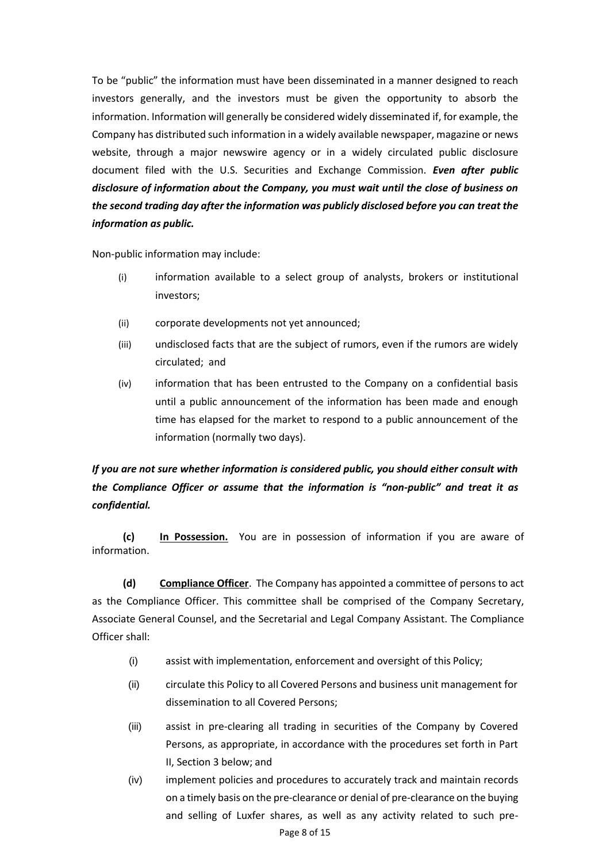To be "public" the information must have been disseminated in a manner designed to reach investors generally, and the investors must be given the opportunity to absorb the information. Information will generally be considered widely disseminated if, for example, the Company has distributed such information in a widely available newspaper, magazine or news website, through a major newswire agency or in a widely circulated public disclosure document filed with the U.S. Securities and Exchange Commission. *Even after public disclosure of information about the Company, you must wait until the close of business on the second trading day after the information was publicly disclosed before you can treat the information as public.*

Non-public information may include:

- (i) information available to a select group of analysts, brokers or institutional investors;
- (ii) corporate developments not yet announced;
- (iii) undisclosed facts that are the subject of rumors, even if the rumors are widely circulated; and
- (iv) information that has been entrusted to the Company on a confidential basis until a public announcement of the information has been made and enough time has elapsed for the market to respond to a public announcement of the information (normally two days).

# *If you are not sure whether information is considered public, you should either consult with the Compliance Officer or assume that the information is "non-public" and treat it as confidential.*

**(c) In Possession.** You are in possession of information if you are aware of information.

**(d) Compliance Officer**. The Company has appointed a committee of persons to act as the Compliance Officer. This committee shall be comprised of the Company Secretary, Associate General Counsel, and the Secretarial and Legal Company Assistant. The Compliance Officer shall:

- (i) assist with implementation, enforcement and oversight of this Policy;
- (ii) circulate this Policy to all Covered Persons and business unit management for dissemination to all Covered Persons;
- (iii) assist in pre-clearing all trading in securities of the Company by Covered Persons, as appropriate, in accordance with the procedures set forth in Part II, Section 3 below; and
- (iv) implement policies and procedures to accurately track and maintain records on a timely basis on the pre-clearance or denial of pre-clearance on the buying and selling of Luxfer shares, as well as any activity related to such pre-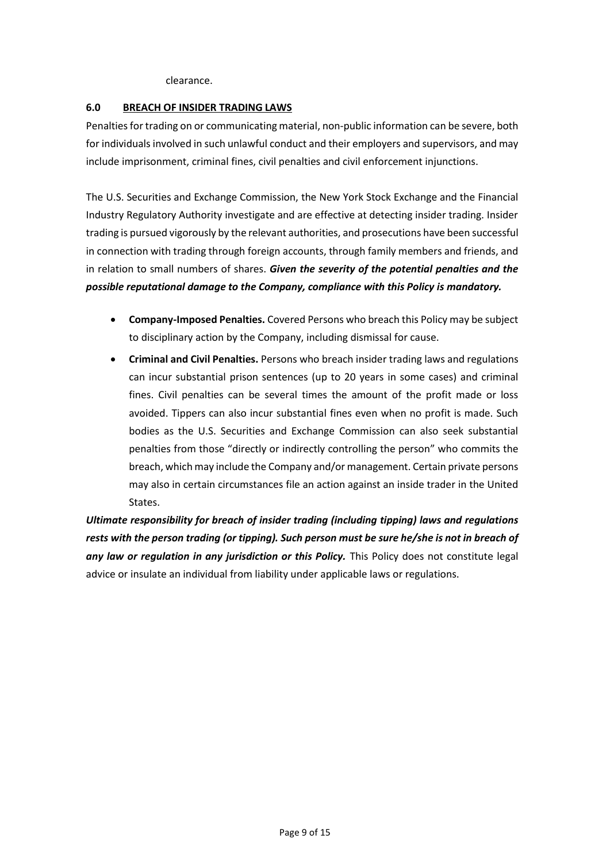#### clearance.

#### **6.0 BREACH OF INSIDER TRADING LAWS**

Penalties for trading on or communicating material, non-public information can be severe, both for individuals involved in such unlawful conduct and their employers and supervisors, and may include imprisonment, criminal fines, civil penalties and civil enforcement injunctions.

The U.S. Securities and Exchange Commission, the New York Stock Exchange and the Financial Industry Regulatory Authority investigate and are effective at detecting insider trading. Insider trading is pursued vigorously by the relevant authorities, and prosecutions have been successful in connection with trading through foreign accounts, through family members and friends, and in relation to small numbers of shares. *Given the severity of the potential penalties and the possible reputational damage to the Company, compliance with this Policy is mandatory.*

- **Company-Imposed Penalties.** Covered Persons who breach this Policy may be subject to disciplinary action by the Company, including dismissal for cause.
- **Criminal and Civil Penalties.** Persons who breach insider trading laws and regulations can incur substantial prison sentences (up to 20 years in some cases) and criminal fines. Civil penalties can be several times the amount of the profit made or loss avoided. Tippers can also incur substantial fines even when no profit is made. Such bodies as the U.S. Securities and Exchange Commission can also seek substantial penalties from those "directly or indirectly controlling the person" who commits the breach, which may include the Company and/or management. Certain private persons may also in certain circumstances file an action against an inside trader in the United States.

*Ultimate responsibility for breach of insider trading (including tipping) laws and regulations rests with the person trading (or tipping). Such person must be sure he/she is not in breach of any law or regulation in any jurisdiction or this Policy.* This Policy does not constitute legal advice or insulate an individual from liability under applicable laws or regulations.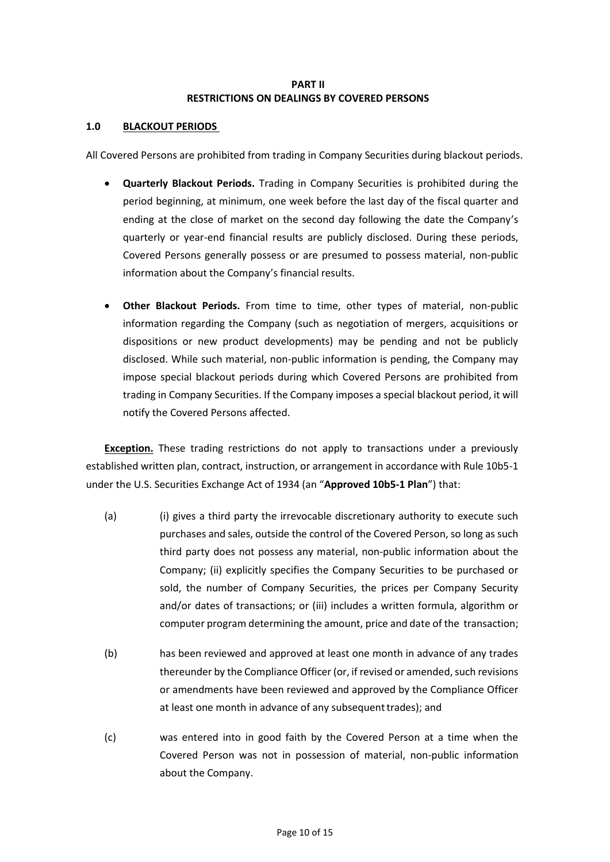### **PART II RESTRICTIONS ON DEALINGS BY COVERED PERSONS**

### **1.0 BLACKOUT PERIODS**

All Covered Persons are prohibited from trading in Company Securities during blackout periods.

- **Quarterly Blackout Periods.** Trading in Company Securities is prohibited during the period beginning, at minimum, one week before the last day of the fiscal quarter and ending at the close of market on the second day following the date the Company's quarterly or year-end financial results are publicly disclosed. During these periods, Covered Persons generally possess or are presumed to possess material, non-public information about the Company's financial results.
- **Other Blackout Periods.** From time to time, other types of material, non-public information regarding the Company (such as negotiation of mergers, acquisitions or dispositions or new product developments) may be pending and not be publicly disclosed. While such material, non-public information is pending, the Company may impose special blackout periods during which Covered Persons are prohibited from trading in Company Securities. If the Company imposes a special blackout period, it will notify the Covered Persons affected.

**Exception.** These trading restrictions do not apply to transactions under a previously established written plan, contract, instruction, or arrangement in accordance with Rule 10b5-1 under the U.S. Securities Exchange Act of 1934 (an "**Approved 10b5-1 Plan**") that:

- (a) (i) gives a third party the irrevocable discretionary authority to execute such purchases and sales, outside the control of the Covered Person, so long as such third party does not possess any material, non-public information about the Company; (ii) explicitly specifies the Company Securities to be purchased or sold, the number of Company Securities, the prices per Company Security and/or dates of transactions; or (iii) includes a written formula, algorithm or computer program determining the amount, price and date of the transaction;
- (b) has been reviewed and approved at least one month in advance of any trades thereunder by the Compliance Officer (or, if revised or amended, such revisions or amendments have been reviewed and approved by the Compliance Officer at least one month in advance of any subsequent trades); and
- (c) was entered into in good faith by the Covered Person at a time when the Covered Person was not in possession of material, non-public information about the Company.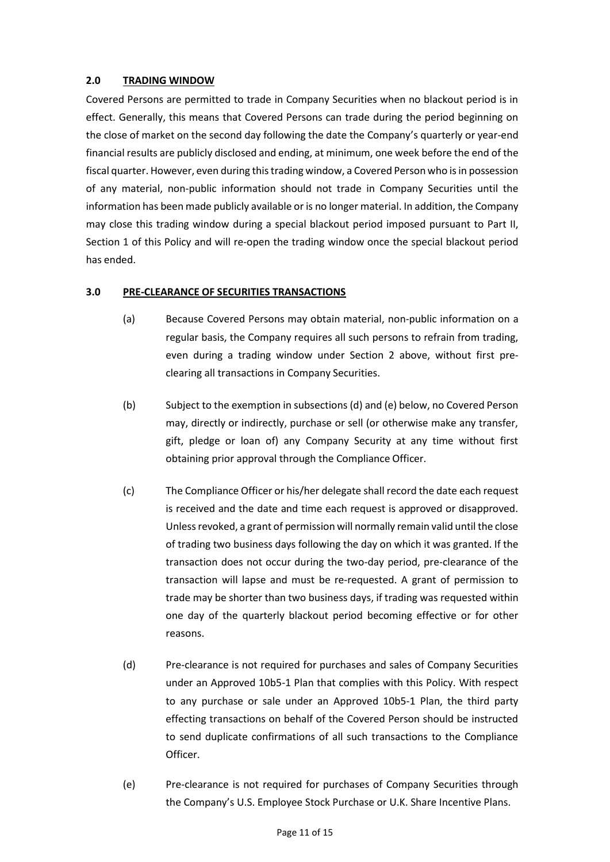### **2.0 TRADING WINDOW**

Covered Persons are permitted to trade in Company Securities when no blackout period is in effect. Generally, this means that Covered Persons can trade during the period beginning on the close of market on the second day following the date the Company's quarterly or year-end financial results are publicly disclosed and ending, at minimum, one week before the end of the fiscal quarter. However, even during this trading window, a Covered Person who is in possession of any material, non-public information should not trade in Company Securities until the information has been made publicly available or is no longer material. In addition, the Company may close this trading window during a special blackout period imposed pursuant to Part II, Section 1 of this Policy and will re-open the trading window once the special blackout period has ended.

### **3.0 PRE-CLEARANCE OF SECURITIES TRANSACTIONS**

- (a) Because Covered Persons may obtain material, non-public information on a regular basis, the Company requires all such persons to refrain from trading, even during a trading window under Section 2 above, without first preclearing all transactions in Company Securities.
- (b) Subject to the exemption in subsections (d) and (e) below, no Covered Person may, directly or indirectly, purchase or sell (or otherwise make any transfer, gift, pledge or loan of) any Company Security at any time without first obtaining prior approval through the Compliance Officer.
- (c) The Compliance Officer or his/her delegate shall record the date each request is received and the date and time each request is approved or disapproved. Unless revoked, a grant of permission will normally remain valid until the close of trading two business days following the day on which it was granted. If the transaction does not occur during the two-day period, pre-clearance of the transaction will lapse and must be re-requested. A grant of permission to trade may be shorter than two business days, if trading was requested within one day of the quarterly blackout period becoming effective or for other reasons.
- (d) Pre-clearance is not required for purchases and sales of Company Securities under an Approved 10b5-1 Plan that complies with this Policy. With respect to any purchase or sale under an Approved 10b5-1 Plan, the third party effecting transactions on behalf of the Covered Person should be instructed to send duplicate confirmations of all such transactions to the Compliance Officer.
- (e) Pre-clearance is not required for purchases of Company Securities through the Company's U.S. Employee Stock Purchase or U.K. Share Incentive Plans.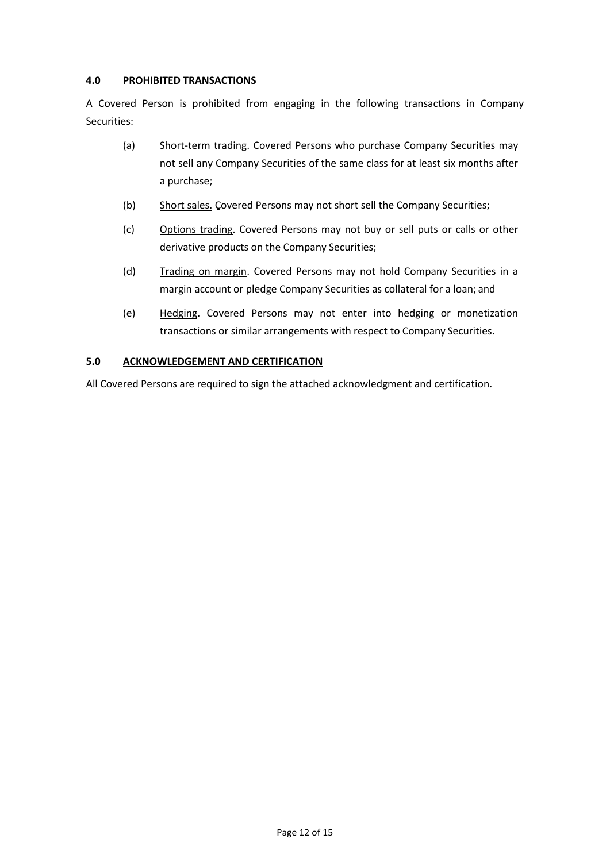### **4.0 PROHIBITED TRANSACTIONS**

A Covered Person is prohibited from engaging in the following transactions in Company Securities:

- (a) Short-term trading. Covered Persons who purchase Company Securities may not sell any Company Securities of the same class for at least six months after a purchase;
- (b) Short sales. Covered Persons may not short sell the Company Securities;
- (c) Options trading. Covered Persons may not buy or sell puts or calls or other derivative products on the Company Securities;
- (d) Trading on margin. Covered Persons may not hold Company Securities in a margin account or pledge Company Securities as collateral for a loan; and
- (e) Hedging. Covered Persons may not enter into hedging or monetization transactions or similar arrangements with respect to Company Securities.

### **5.0 ACKNOWLEDGEMENT AND CERTIFICATION**

All Covered Persons are required to sign the attached acknowledgment and certification.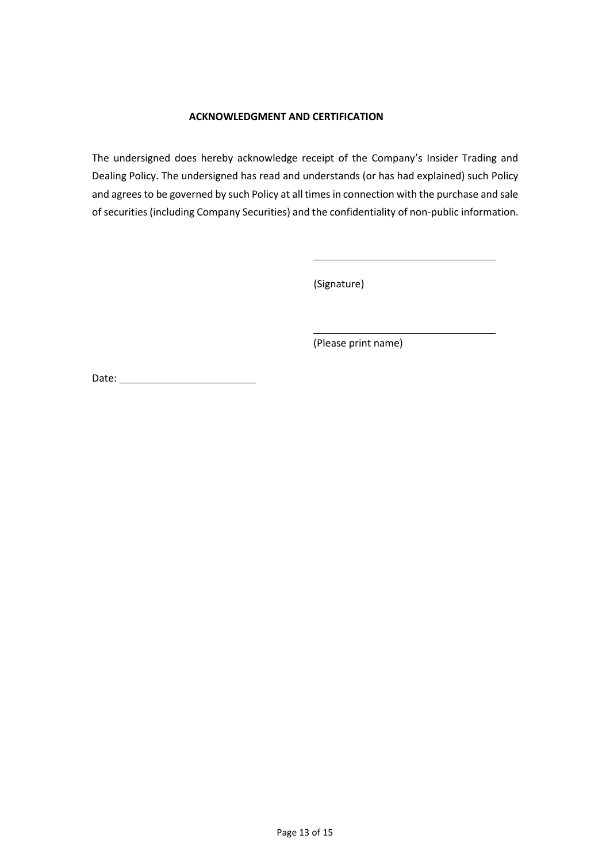### **ACKNOWLEDGMENT AND CERTIFICATION**

The undersigned does hereby acknowledge receipt of the Company's Insider Trading and Dealing Policy. The undersigned has read and understands (or has had explained) such Policy and agrees to be governed by such Policy at all times in connection with the purchase and sale of securities (including Company Securities) and the confidentiality of non-public information.

(Signature)

(Please print name)

Date: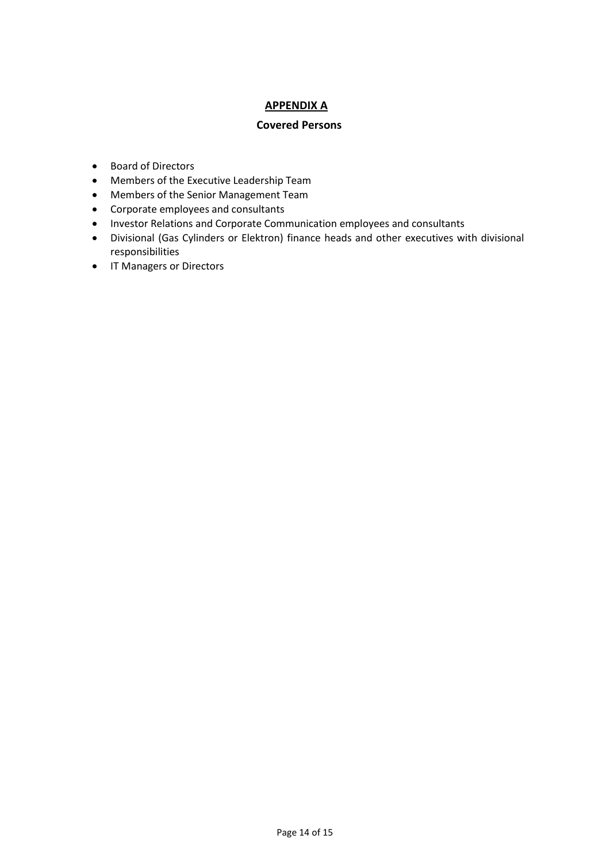## **APPENDIX A**

### **Covered Persons**

- Board of Directors
- Members of the Executive Leadership Team
- Members of the Senior Management Team
- Corporate employees and consultants
- Investor Relations and Corporate Communication employees and consultants
- Divisional (Gas Cylinders or Elektron) finance heads and other executives with divisional responsibilities
- IT Managers or Directors